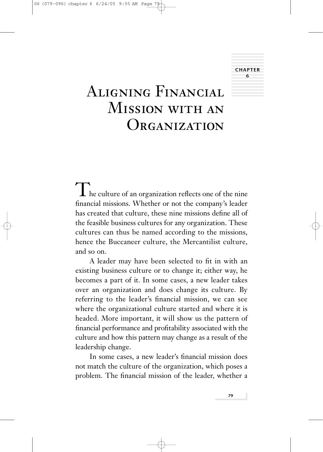# **CHAPTER 6**

# Aligning FinancialMission with an ORGANIZATION

 $\prod$  he culture of an organization reflects one of the nine financial missions. Whether or not the company's leader has created that culture, these nine missions define all of the feasible business cultures for any organization. These cultures can thus be named according to the missions, hence the Buccaneer culture, the Mercantilist culture, and so on.

A leader may have been selected to fit in with an existing business culture or to change it; either way, he becomes a part of it. In some cases, a new leader takes over an organization and does change its culture. By referring to the leader's financial mission, we can see where the organizational culture started and where it is headed. More important, it will show us the pattern of financial performance and profitability associated with the culture and how this pattern may change as a result of the leadership change.

In some cases, a new leader's financial mission does not match the culture of the organization, which poses a problem. The financial mission of the leader, whether a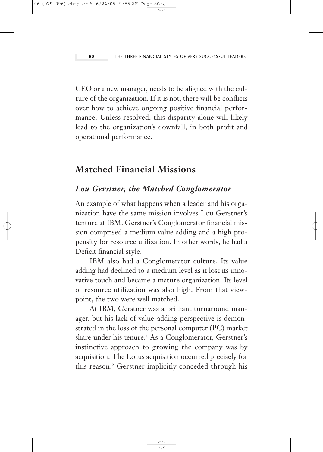CEO or a new manager, needs to be aligned with the culture of the organization. If it is not, there will be conflicts over how to achieve ongoing positive financial performance. Unless resolved, this disparity alone will likely lead to the organization's downfall, in both profit and operational performance.

### **Matched Financial Missions**

#### *Lou Gerstner, the Matched Conglomerator*

An example of what happens when a leader and his organization have the same mission involves Lou Gerstner's tenture at IBM. Gerstner's Conglomerator financial mission comprised a medium value adding and a high propensity for resource utilization. In other words, he had a Deficit financial style.

IBM also had a Conglomerator culture. Its value adding had declined to a medium level as it lost its innovative touch and became a mature organization. Its level of resource utilization was also high. From that viewpoint, the two were well matched.

At IBM, Gerstner was a brilliant turnaround manager, but his lack of value-adding perspective is demonstrated in the loss of the personal computer (PC) market share under his tenure.<sup>1</sup> As a Conglomerator, Gerstner's instinctive approach to growing the company was by acquisition. The Lotus acquisition occurred precisely for this reason.<sup>2</sup> Gerstner implicitly conceded through his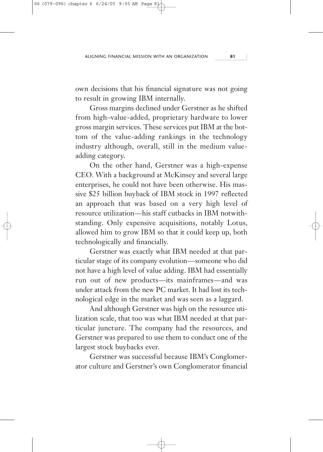own decisions that his financial signature was not going to result in growing IBM internally.

Gross margins declined under Gerstner as he shifted from high–value-added, proprietary hardware to lower gross margin services. These services put IBM at the bottom of the value-adding rankings in the technology industry although, overall, still in the medium valueadding category.

On the other hand, Gerstner was a high-expense CEO. With a background at McKinsey and several large enterprises, he could not have been otherwise. His massive \$25 billion buyback of IBM stock in 1997 reflected an approach that was based on a very high level of resource utilization—his staff cutbacks in IBM notwithstanding. Only expensive acquisitions, notably Lotus, allowed him to grow IBM so that it could keep up, both technologically and financially.

Gerstner was exactly what IBM needed at that particular stage of its company evolution—someone who did not have a high level of value adding. IBM had essentially run out of new products—its mainframes—and was under attack from the new PC market. It had lost its technological edge in the market and was seen as a laggard.

And although Gerstner was high on the resource utilization scale, that too was what IBM needed at that particular juncture. The company had the resources, and Gerstner was prepared to use them to conduct one of the largest stock buybacks ever.

Gerstner was successful because IBM's Conglomerator culture and Gerstner's own Conglomerator financial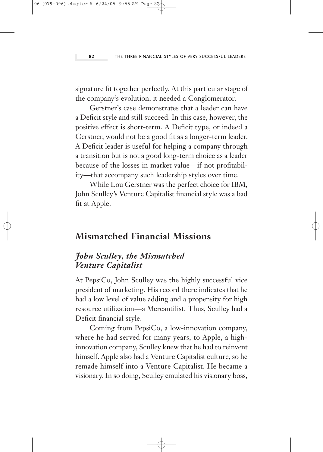signature fit together perfectly. At this particular stage of the company's evolution, it needed a Conglomerator.

Gerstner's case demonstrates that a leader can have a Deficit style and still succeed. In this case, however, the positive effect is short-term. A Deficit type, or indeed a Gerstner, would not be a good fit as a longer-term leader. A Deficit leader is useful for helping a company through a transition but is not a good long-term choice as a leader because of the losses in market value—if not profitability—that accompany such leadership styles over time.

While Lou Gerstner was the perfect choice for IBM, John Sculley's Venture Capitalist financial style was a bad fit at Apple.

#### **Mismatched Financial Missions**

#### *John Sculley, the Mismatched Venture Capitalist*

At PepsiCo, John Sculley was the highly successful vice president of marketing. His record there indicates that he had a low level of value adding and a propensity for high resource utilization—a Mercantilist. Thus, Sculley had a Deficit financial style.

Coming from PepsiCo, a low-innovation company, where he had served for many years, to Apple, a highinnovation company, Sculley knew that he had to reinvent himself. Apple also had a Venture Capitalist culture, so he remade himself into a Venture Capitalist. He became a visionary. In so doing, Sculley emulated his visionary boss,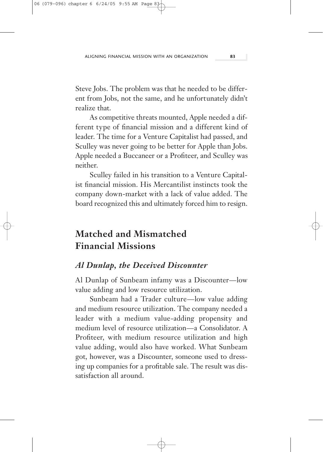Steve Jobs. The problem was that he needed to be different from Jobs, not the same, and he unfortunately didn't realize that.

As competitive threats mounted, Apple needed a different type of financial mission and a different kind of leader. The time for a Venture Capitalist had passed, and Sculley was never going to be better for Apple than Jobs. Apple needed a Buccaneer or a Profiteer, and Sculley was neither.

Sculley failed in his transition to a Venture Capitalist financial mission. His Mercantilist instincts took the company down-market with a lack of value added. The board recognized this and ultimately forced him to resign.

# **Matched and Mismatched Financial Missions**

#### *Al Dunlap, the Deceived Discounter*

Al Dunlap of Sunbeam infamy was a Discounter—low value adding and low resource utilization.

Sunbeam had a Trader culture—low value adding and medium resource utilization. The company needed a leader with a medium value-adding propensity and medium level of resource utilization—a Consolidator. A Profiteer, with medium resource utilization and high value adding, would also have worked. What Sunbeam got, however, was a Discounter, someone used to dressing up companies for a profitable sale. The result was dissatisfaction all around.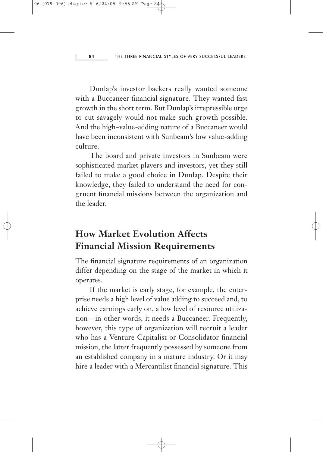Dunlap's investor backers really wanted someone with a Buccaneer financial signature. They wanted fast growth in the short term. But Dunlap's irrepressible urge to cut savagely would not make such growth possible. And the high–value-adding nature of a Buccaneer would have been inconsistent with Sunbeam's low value-adding culture.

The board and private investors in Sunbeam were sophisticated market players and investors, yet they still failed to make a good choice in Dunlap. Despite their knowledge, they failed to understand the need for congruent financial missions between the organization and the leader.

# **How Market Evolution Affects Financial Mission Requirements**

The financial signature requirements of an organization differ depending on the stage of the market in which it operates.

If the market is early stage, for example, the enterprise needs a high level of value adding to succeed and, to achieve earnings early on, a low level of resource utilization—in other words, it needs a Buccaneer. Frequently, however, this type of organization will recruit a leader who has a Venture Capitalist or Consolidator financial mission, the latter frequently possessed by someone from an established company in a mature industry. Or it may hire a leader with a Mercantilist financial signature. This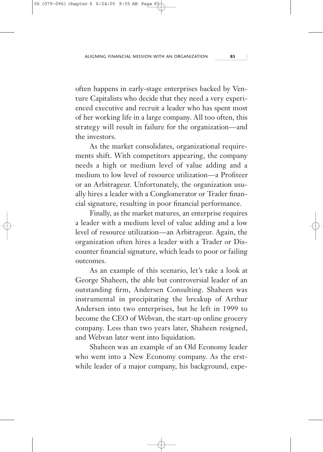often happens in early-stage enterprises backed by Venture Capitalists who decide that they need a very experienced executive and recruit a leader who has spent most of her working life in a large company. All too often, this strategy will result in failure for the organization—and the investors.

As the market consolidates, organizational requirements shift. With competitors appearing, the company needs a high or medium level of value adding and a medium to low level of resource utilization—a Profiteer or an Arbitrageur. Unfortunately, the organization usually hires a leader with a Conglomerator or Trader financial signature, resulting in poor financial performance.

Finally, as the market matures, an enterprise requires a leader with a medium level of value adding and a low level of resource utilization—an Arbitrageur. Again, the organization often hires a leader with a Trader or Discounter financial signature, which leads to poor or failing outcomes.

As an example of this scenario, let's take a look at George Shaheen, the able but controversial leader of an outstanding firm, Andersen Consulting. Shaheen was instrumental in precipitating the breakup of Arthur Andersen into two enterprises, but he left in 1999 to become the CEO of Webvan, the start-up online grocery company. Less than two years later, Shaheen resigned, and Webvan later went into liquidation.

Shaheen was an example of an Old Economy leader who went into a New Economy company. As the erstwhile leader of a major company, his background, expe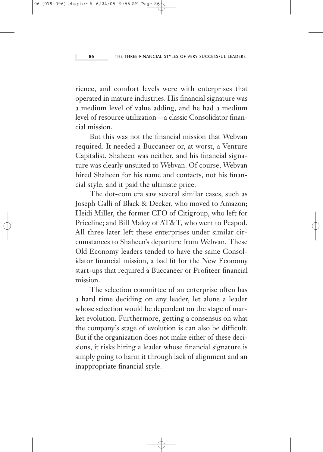rience, and comfort levels were with enterprises that operated in mature industries. His financial signature was a medium level of value adding, and he had a medium level of resource utilization—a classic Consolidator financial mission.

But this was not the financial mission that Webvan required. It needed a Buccaneer or, at worst, a Venture Capitalist. Shaheen was neither, and his financial signature was clearly unsuited to Webvan. Of course, Webvan hired Shaheen for his name and contacts, not his financial style, and it paid the ultimate price.

The dot-com era saw several similar cases, such as Joseph Galli of Black & Decker, who moved to Amazon; Heidi Miller, the former CFO of Citigroup, who left for Priceline; and Bill Maloy of AT&T, who went to Peapod. All three later left these enterprises under similar circumstances to Shaheen's departure from Webvan. These Old Economy leaders tended to have the same Consolidator financial mission, a bad fit for the New Economy start-ups that required a Buccaneer or Profiteer financial mission.

The selection committee of an enterprise often has a hard time deciding on any leader, let alone a leader whose selection would be dependent on the stage of market evolution. Furthermore, getting a consensus on what the company's stage of evolution is can also be difficult. But if the organization does not make either of these decisions, it risks hiring a leader whose financial signature is simply going to harm it through lack of alignment and an inappropriate financial style.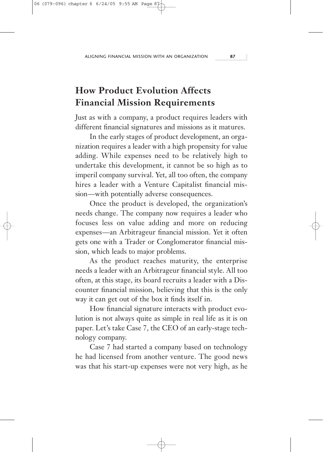# **How Product Evolution Affects Financial Mission Requirements**

Just as with a company, a product requires leaders with different financial signatures and missions as it matures.

In the early stages of product development, an organization requires a leader with a high propensity for value adding. While expenses need to be relatively high to undertake this development, it cannot be so high as to imperil company survival. Yet, all too often, the company hires a leader with a Venture Capitalist financial mission—with potentially adverse consequences.

Once the product is developed, the organization's needs change. The company now requires a leader who focuses less on value adding and more on reducing expenses—an Arbitrageur financial mission. Yet it often gets one with a Trader or Conglomerator financial mission, which leads to major problems.

As the product reaches maturity, the enterprise needs a leader with an Arbitrageur financial style. All too often, at this stage, its board recruits a leader with a Discounter financial mission, believing that this is the only way it can get out of the box it finds itself in.

How financial signature interacts with product evolution is not always quite as simple in real life as it is on paper. Let's take Case 7, the CEO of an early-stage technology company.

Case 7 had started a company based on technology he had licensed from another venture. The good news was that his start-up expenses were not very high, as he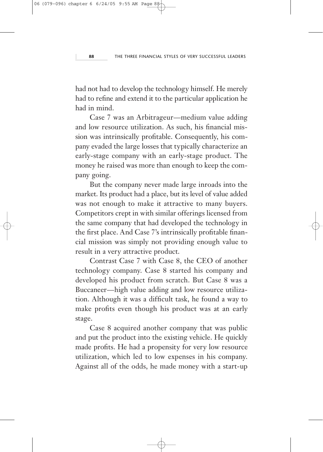had not had to develop the technology himself. He merely had to refine and extend it to the particular application he had in mind.

Case 7 was an Arbitrageur—medium value adding and low resource utilization. As such, his financial mission was intrinsically profitable. Consequently, his company evaded the large losses that typically characterize an early-stage company with an early-stage product. The money he raised was more than enough to keep the company going.

But the company never made large inroads into the market. Its product had a place, but its level of value added was not enough to make it attractive to many buyers. Competitors crept in with similar offerings licensed from the same company that had developed the technology in the first place. And Case 7's intrinsically profitable financial mission was simply not providing enough value to result in a very attractive product.

Contrast Case 7 with Case 8, the CEO of another technology company. Case 8 started his company and developed his product from scratch. But Case 8 was a Buccaneer—high value adding and low resource utilization. Although it was a difficult task, he found a way to make profits even though his product was at an early stage.

Case 8 acquired another company that was public and put the product into the existing vehicle. He quickly made profits. He had a propensity for very low resource utilization, which led to low expenses in his company. Against all of the odds, he made money with a start-up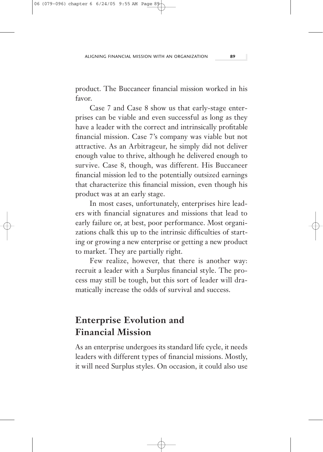product. The Buccaneer financial mission worked in his favor.

Case 7 and Case 8 show us that early-stage enterprises can be viable and even successful as long as they have a leader with the correct and intrinsically profitable financial mission. Case 7's company was viable but not attractive. As an Arbitrageur, he simply did not deliver enough value to thrive, although he delivered enough to survive. Case 8, though, was different. His Buccaneer financial mission led to the potentially outsized earnings that characterize this financial mission, even though his product was at an early stage.

In most cases, unfortunately, enterprises hire leaders with financial signatures and missions that lead to early failure or, at best, poor performance. Most organizations chalk this up to the intrinsic difficulties of starting or growing a new enterprise or getting a new product to market. They are partially right.

Few realize, however, that there is another way: recruit a leader with a Surplus financial style. The process may still be tough, but this sort of leader will dramatically increase the odds of survival and success.

# **Enterprise Evolution and Financial Mission**

As an enterprise undergoes its standard life cycle, it needs leaders with different types of financial missions. Mostly, it will need Surplus styles. On occasion, it could also use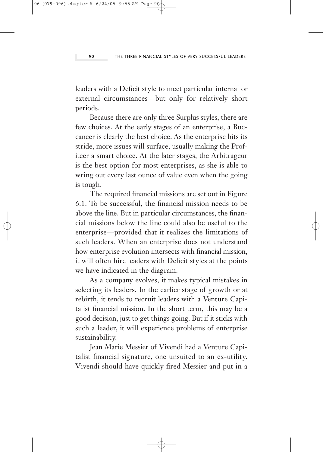leaders with a Deficit style to meet particular internal or external circumstances—but only for relatively short periods.

Because there are only three Surplus styles, there are few choices. At the early stages of an enterprise, a Buccaneer is clearly the best choice. As the enterprise hits its stride, more issues will surface, usually making the Profiteer a smart choice. At the later stages, the Arbitrageur is the best option for most enterprises, as she is able to wring out every last ounce of value even when the going is tough.

The required financial missions are set out in Figure 6.1. To be successful, the financial mission needs to be above the line. But in particular circumstances, the financial missions below the line could also be useful to the enterprise—provided that it realizes the limitations of such leaders. When an enterprise does not understand how enterprise evolution intersects with financial mission, it will often hire leaders with Deficit styles at the points we have indicated in the diagram.

As a company evolves, it makes typical mistakes in selecting its leaders. In the earlier stage of growth or at rebirth, it tends to recruit leaders with a Venture Capitalist financial mission. In the short term, this may be a good decision, just to get things going. But if it sticks with such a leader, it will experience problems of enterprise sustainability.

Jean Marie Messier of Vivendi had a Venture Capitalist financial signature, one unsuited to an ex-utility. Vivendi should have quickly fired Messier and put in a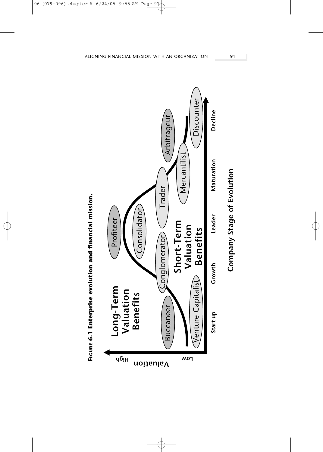

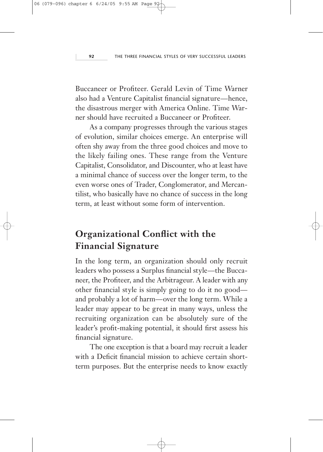Buccaneer or Profiteer. Gerald Levin of Time Warner also had a Venture Capitalist financial signature—hence, the disastrous merger with America Online. Time Warner should have recruited a Buccaneer or Profiteer.

As a company progresses through the various stages of evolution, similar choices emerge. An enterprise will often shy away from the three good choices and move to the likely failing ones. These range from the Venture Capitalist, Consolidator, and Discounter, who at least have a minimal chance of success over the longer term, to the even worse ones of Trader, Conglomerator, and Mercantilist, who basically have no chance of success in the long term, at least without some form of intervention.

# **Organizational Conflict with the Financial Signature**

In the long term, an organization should only recruit leaders who possess a Surplus financial style—the Buccaneer, the Profiteer, and the Arbitrageur. A leader with any other financial style is simply going to do it no good and probably a lot of harm—over the long term. While a leader may appear to be great in many ways, unless the recruiting organization can be absolutely sure of the leader's profit-making potential, it should first assess his financial signature.

The one exception is that a board may recruit a leader with a Deficit financial mission to achieve certain shortterm purposes. But the enterprise needs to know exactly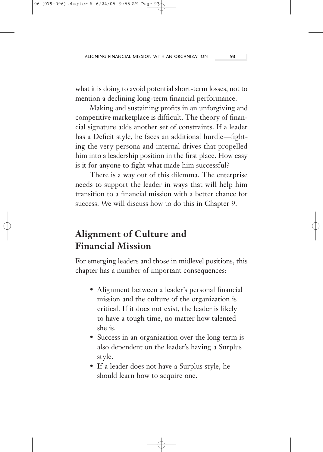what it is doing to avoid potential short-term losses, not to mention a declining long-term financial performance.

Making and sustaining profits in an unforgiving and competitive marketplace is difficult. The theory of financial signature adds another set of constraints. If a leader has a Deficit style, he faces an additional hurdle—fighting the very persona and internal drives that propelled him into a leadership position in the first place. How easy is it for anyone to fight what made him successful?

There is a way out of this dilemma. The enterprise needs to support the leader in ways that will help him transition to a financial mission with a better chance for success. We will discuss how to do this in Chapter 9.

# **Alignment of Culture and Financial Mission**

For emerging leaders and those in midlevel positions, this chapter has a number of important consequences:

- Alignment between a leader's personal financial mission and the culture of the organization is critical. If it does not exist, the leader is likely to have a tough time, no matter how talented she is.
- Success in an organization over the long term is also dependent on the leader's having a Surplus style.
- If a leader does not have a Surplus style, he should learn how to acquire one.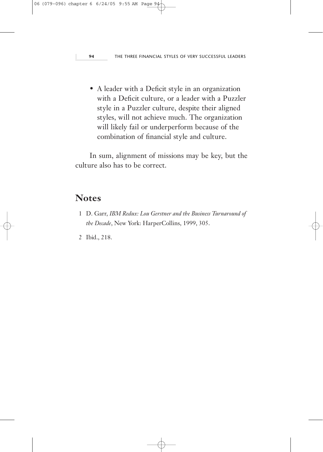• A leader with a Deficit style in an organization with a Deficit culture, or a leader with a Puzzler style in a Puzzler culture, despite their aligned styles, will not achieve much. The organization will likely fail or underperform because of the combination of financial style and culture.

In sum, alignment of missions may be key, but the culture also has to be correct.

#### **Notes**

- 1 D. Garr, *IBM Redux: Lou Gerstner and the Business Turnaround of the Decade*, New York: HarperCollins, 1999, 305.
- 2 Ibid., 218.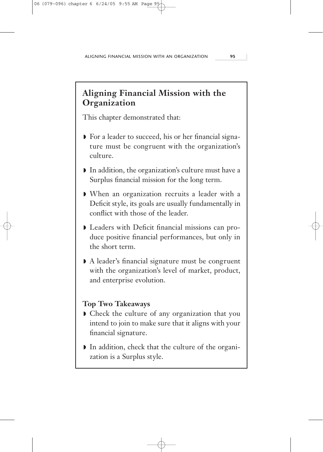### **Aligning Financial Mission with the Organization**

This chapter demonstrated that:

- ◗ For a leader to succeed, his or her financial signature must be congruent with the organization's culture.
- ◗ In addition, the organization's culture must have a Surplus financial mission for the long term.
- ◗ When an organization recruits a leader with a Deficit style, its goals are usually fundamentally in conflict with those of the leader.
- ◗ Leaders with Deficit financial missions can produce positive financial performances, but only in the short term.
- ◗ A leader's financial signature must be congruent with the organization's level of market, product, and enterprise evolution.

#### **Top Two Takeaways**

- ◗ Check the culture of any organization that you intend to join to make sure that it aligns with your financial signature.
- ◗ In addition, check that the culture of the organization is a Surplus style.